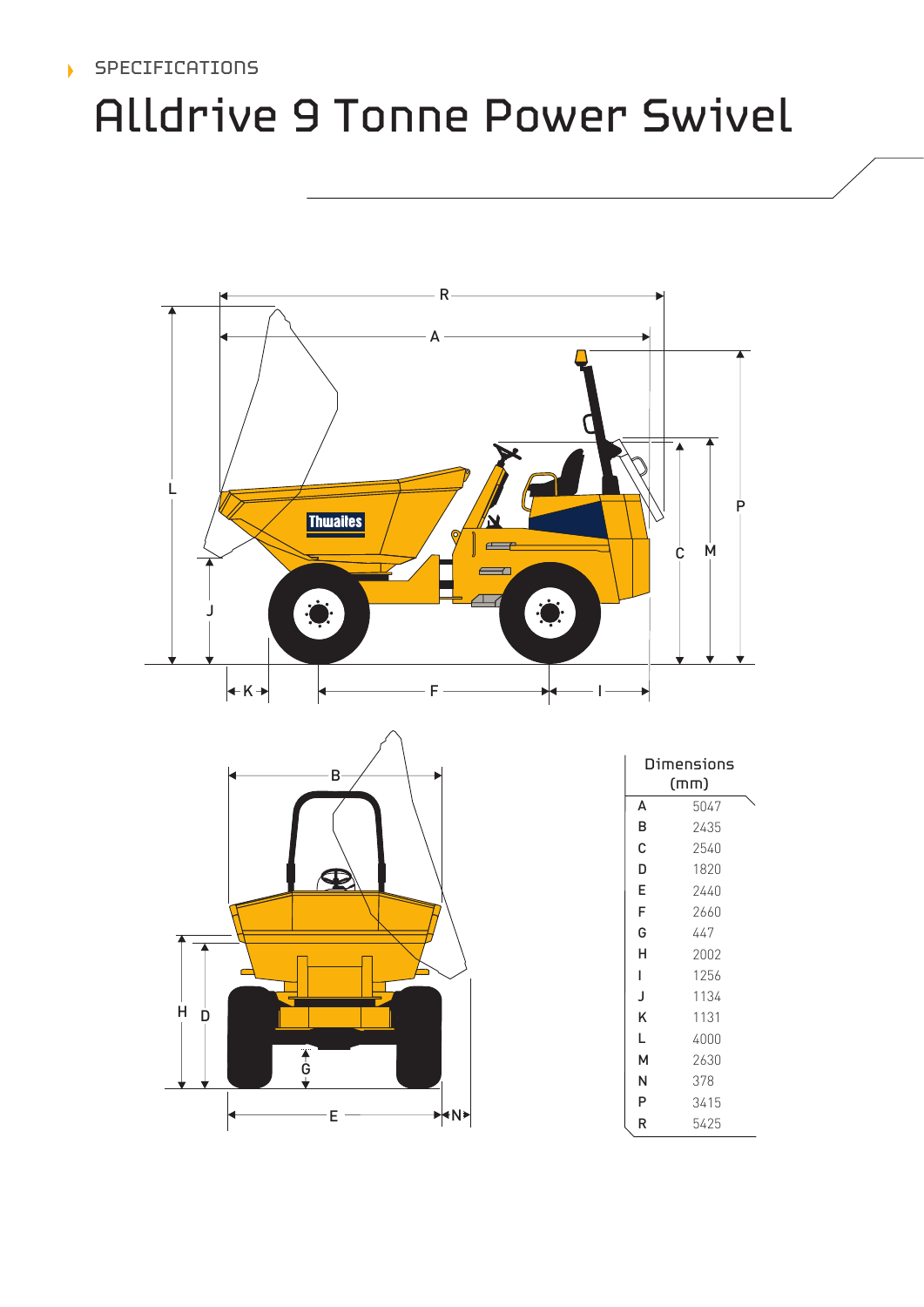# SPECIFICATIONS

# Alldrive 9 Tonne Power Swivel





| Dimensions<br>(mm) |      |  |  |
|--------------------|------|--|--|
| A                  | 5047 |  |  |
| B                  | 2435 |  |  |
| C                  | 2540 |  |  |
| D                  | 1820 |  |  |
| E                  | 2440 |  |  |
| F                  | 2660 |  |  |
| G                  | 447  |  |  |
| н                  | 2002 |  |  |
| ı                  | 1256 |  |  |
| J                  | 1134 |  |  |
| Κ                  | 1131 |  |  |
| L                  | 4000 |  |  |
| м                  | 2630 |  |  |
| N                  | 378  |  |  |
| P                  | 3415 |  |  |
| R                  | 5425 |  |  |